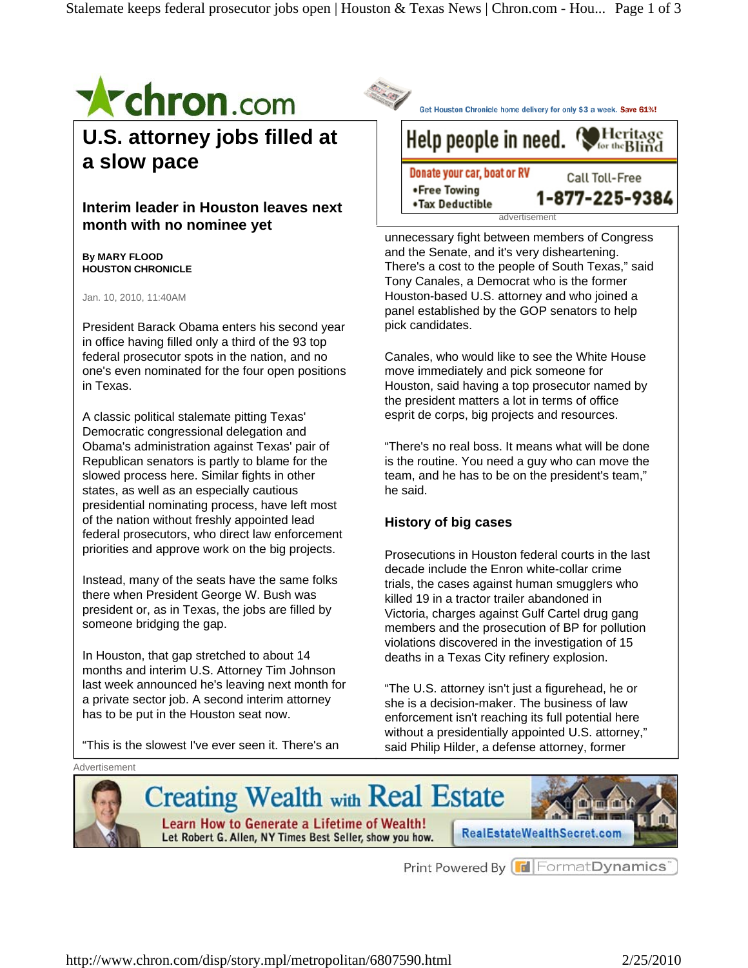

**U.S. attorney jobs filled at a slow pace** 

**Interim leader in Houston leaves next month with no nominee yet** 

**By MARY FLOOD HOUSTON CHRONICLE** 

Jan. 10, 2010, 11:40AM

President Barack Obama enters his second year in office having filled only a third of the 93 top federal prosecutor spots in the nation, and no one's even nominated for the four open positions in Texas.

A classic political stalemate pitting Texas' Democratic congressional delegation and Obama's administration against Texas' pair of Republican senators is partly to blame for the slowed process here. Similar fights in other states, as well as an especially cautious presidential nominating process, have left most of the nation without freshly appointed lead federal prosecutors, who direct law enforcement priorities and approve work on the big projects.

Instead, many of the seats have the same folks there when President George W. Bush was president or, as in Texas, the jobs are filled by someone bridging the gap.

In Houston, that gap stretched to about 14 months and interim U.S. Attorney Tim Johnson last week announced he's leaving next month for a private sector job. A second interim attorney has to be put in the Houston seat now.

"This is the slowest I've ever seen it. There's an

Get Houston Chronicle home delivery for only \$3 a week. Save 61%!

## Help people in need. Heritage for the **Blind**

Donate your car, boat or RV Call Toll-Free •Free Towing 1-877-225-9384 •Tax Deductible advertisement

unnecessary fight between members of Congress and the Senate, and it's very disheartening. There's a cost to the people of South Texas," said Tony Canales, a Democrat who is the former Houston-based U.S. attorney and who joined a panel established by the GOP senators to help pick candidates.

Canales, who would like to see the White House move immediately and pick someone for Houston, said having a top prosecutor named by the president matters a lot in terms of office esprit de corps, big projects and resources.

"There's no real boss. It means what will be done is the routine. You need a guy who can move the team, and he has to be on the president's team," he said.

## **History of big cases**

Prosecutions in Houston federal courts in the last decade include the Enron white-collar crime trials, the cases against human smugglers who killed 19 in a tractor trailer abandoned in Victoria, charges against Gulf Cartel drug gang members and the prosecution of BP for pollution violations discovered in the investigation of 15 deaths in a Texas City refinery explosion.

"The U.S. attorney isn't just a figurehead, he or she is a decision-maker. The business of law enforcement isn't reaching its full potential here without a presidentially appointed U.S. attorney," said Philip Hilder, a defense attorney, former

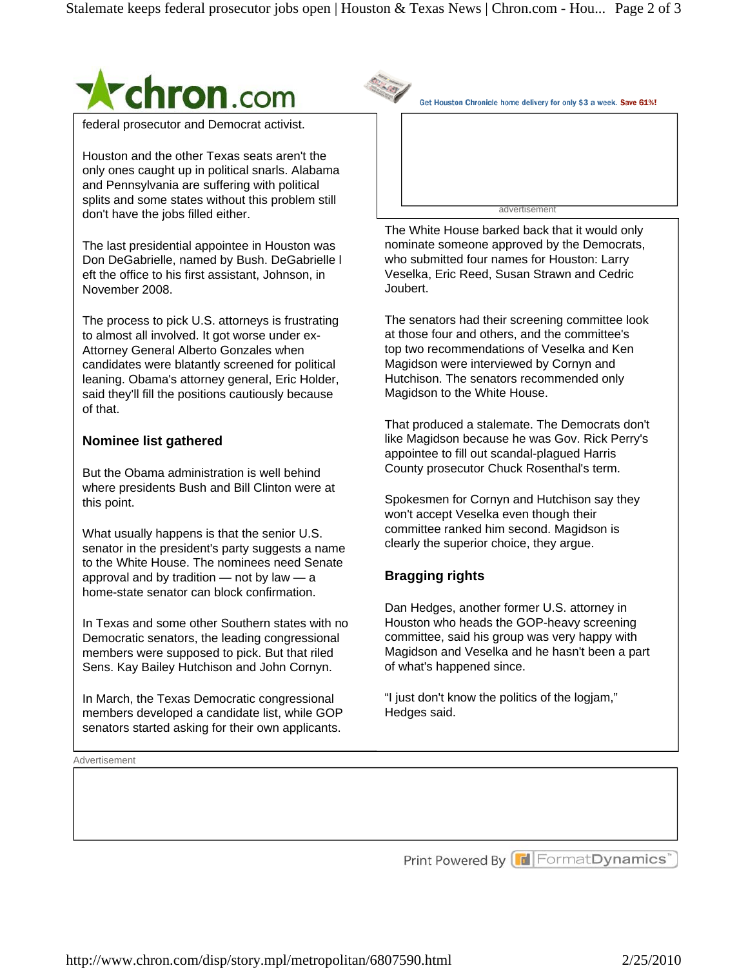

federal prosecutor and Democrat activist.

Houston and the other Texas seats aren't the only ones caught up in political snarls. Alabama and Pennsylvania are suffering with political splits and some states without this problem still don't have the jobs filled either.

The last presidential appointee in Houston was Don DeGabrielle, named by Bush. DeGabrielle l eft the office to his first assistant, Johnson, in November 2008.

The process to pick U.S. attorneys is frustrating to almost all involved. It got worse under ex-Attorney General Alberto Gonzales when candidates were blatantly screened for political leaning. Obama's attorney general, Eric Holder, said they'll fill the positions cautiously because of that.

## **Nominee list gathered**

But the Obama administration is well behind where presidents Bush and Bill Clinton were at this point.

What usually happens is that the senior U.S. senator in the president's party suggests a name to the White House. The nominees need Senate approval and by tradition  $-$  not by law  $-$  a home-state senator can block confirmation.

In Texas and some other Southern states with no Democratic senators, the leading congressional members were supposed to pick. But that riled Sens. Kay Bailey Hutchison and John Cornyn.

In March, the Texas Democratic congressional members developed a candidate list, while GOP senators started asking for their own applicants.

**Advertisement** 

Get Houston Chronicle home delivery for only \$3 a week. Save 61%!

advertisement

The White House barked back that it would only nominate someone approved by the Democrats, who submitted four names for Houston: Larry Veselka, Eric Reed, Susan Strawn and Cedric Joubert.

The senators had their screening committee look at those four and others, and the committee's top two recommendations of Veselka and Ken Magidson were interviewed by Cornyn and Hutchison. The senators recommended only Magidson to the White House.

That produced a stalemate. The Democrats don't like Magidson because he was Gov. Rick Perry's appointee to fill out scandal-plagued Harris County prosecutor Chuck Rosenthal's term.

Spokesmen for Cornyn and Hutchison say they won't accept Veselka even though their committee ranked him second. Magidson is clearly the superior choice, they argue.

## **Bragging rights**

Dan Hedges, another former U.S. attorney in Houston who heads the GOP-heavy screening committee, said his group was very happy with Magidson and Veselka and he hasn't been a part of what's happened since.

"I just don't know the politics of the logjam," Hedges said.

Print Powered By **F** Format Dynamics"